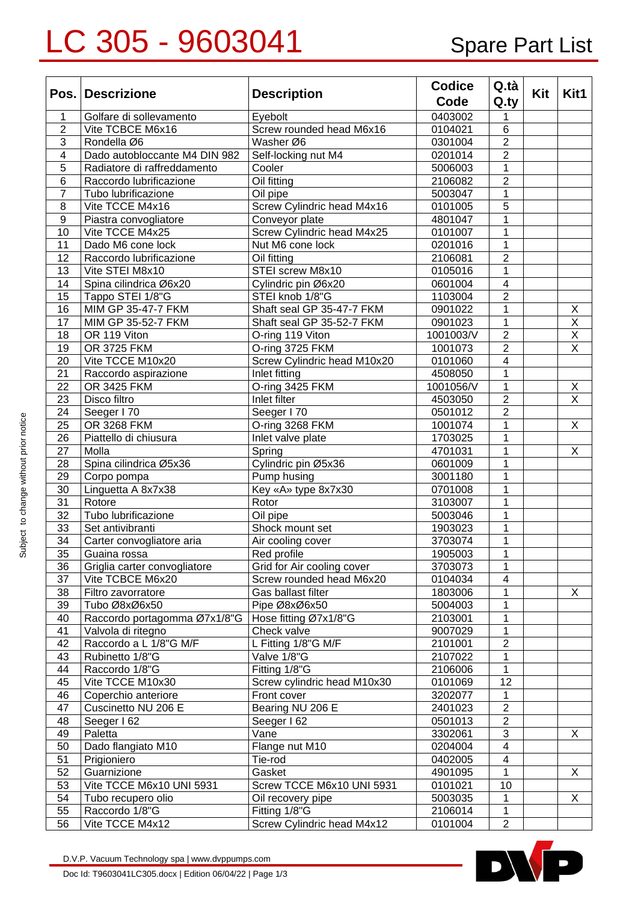## LC 305 - 9603041 Spare Part List

|                  | Pos. Descrizione              | <b>Description</b>          | <b>Codice</b> | Q.tà           |     | Kit1               |
|------------------|-------------------------------|-----------------------------|---------------|----------------|-----|--------------------|
|                  |                               |                             | Code          | Q.ty           | Kit |                    |
| 1                | Golfare di sollevamento       | Eyebolt                     | 0403002       | 1              |     |                    |
| $\overline{2}$   | Vite TCBCE M6x16              | Screw rounded head M6x16    | 0104021       | 6              |     |                    |
| 3                | Rondella Ø6                   | Washer Ø6                   | 0301004       | $\overline{2}$ |     |                    |
| 4                | Dado autobloccante M4 DIN 982 | Self-locking nut M4         | 0201014       | $\overline{2}$ |     |                    |
| 5                | Radiatore di raffreddamento   | Cooler                      | 5006003       | 1              |     |                    |
| $\,6$            | Raccordo lubrificazione       | Oil fitting                 | 2106082       | $\overline{2}$ |     |                    |
| $\overline{7}$   | Tubo lubrificazione           | Oil pipe                    | 5003047       | 1              |     |                    |
| 8                | Vite TCCE M4x16               | Screw Cylindric head M4x16  | 0101005       | 5              |     |                    |
| $\boldsymbol{9}$ | Piastra convogliatore         | Conveyor plate              | 4801047       | 1              |     |                    |
| 10               | Vite TCCE M4x25               | Screw Cylindric head M4x25  | 0101007       | 1              |     |                    |
| 11               | Dado M6 cone lock             | Nut M6 cone lock            | 0201016       | 1              |     |                    |
| 12               | Raccordo lubrificazione       | Oil fitting                 | 2106081       | $\overline{2}$ |     |                    |
| 13               | Vite STEI M8x10               | STEI screw M8x10            | 0105016       | 1              |     |                    |
| 14               | Spina cilindrica Ø6x20        | Cylindric pin Ø6x20         | 0601004       | 4              |     |                    |
| 15               | Tappo STEI 1/8"G              | STEI knob 1/8"G             | 1103004       | $\overline{2}$ |     |                    |
| 16               | MIM GP 35-47-7 FKM            | Shaft seal GP 35-47-7 FKM   | 0901022       | 1              |     | X                  |
| 17               | MIM GP 35-52-7 FKM            | Shaft seal GP 35-52-7 FKM   | 0901023       | 1              |     | $\pmb{\mathsf{X}}$ |
| 18               | OR 119 Viton                  | O-ring 119 Viton            | 1001003/V     | $\overline{2}$ |     | X                  |
| 19               | OR 3725 FKM                   | O-ring 3725 FKM             | 1001073       | $\overline{2}$ |     | X                  |
| 20               | Vite TCCE M10x20              | Screw Cylindric head M10x20 | 0101060       | 4              |     |                    |
| 21               | Raccordo aspirazione          | Inlet fitting               | 4508050       | 1              |     |                    |
| 22               | OR 3425 FKM                   | O-ring 3425 FKM             | 1001056/V     | 1              |     | X                  |
| 23               | Disco filtro                  | Inlet filter                | 4503050       | $\overline{2}$ |     | X                  |
| 24               | Seeger I 70                   | Seeger I 70                 | 0501012       | $\overline{2}$ |     |                    |
| 25               | OR 3268 FKM                   | O-ring 3268 FKM             | 1001074       | 1              |     | X                  |
| 26               | Piattello di chiusura         | Inlet valve plate           | 1703025       | 1              |     |                    |
| 27               | Molla                         | Spring                      | 4701031       | 1              |     | X                  |
| 28               | Spina cilindrica Ø5x36        | Cylindric pin Ø5x36         | 0601009       | 1              |     |                    |
| 29               | Corpo pompa                   | Pump husing                 | 3001180       | 1              |     |                    |
| 30               | Linguetta A 8x7x38            | Key «A» type 8x7x30         | 0701008       | 1              |     |                    |
| 31               | Rotore                        | Rotor                       | 3103007       | 1              |     |                    |
| 32               | Tubo lubrificazione           | Oil pipe                    | 5003046       | 1              |     |                    |
| 33               | Set antivibranti              | Shock mount set             | 1903023       | 1              |     |                    |
| 34               | Carter convogliatore aria     | Air cooling cover           | 3703074       | 1              |     |                    |
| 35               | Guaina rossa                  | Red profile                 | 1905003       | 1              |     |                    |
| 36               | Griglia carter convogliatore  | Grid for Air cooling cover  | 3703073       | 1              |     |                    |
| 37               | Vite TCBCE M6x20              | Screw rounded head M6x20    | 0104034       | 4              |     |                    |
| 38               | Filtro zavorratore            | Gas ballast filter          | 1803006       | 1              |     | X                  |
| 39               | Tubo Ø8xØ6x50                 | Pipe Ø8xØ6x50               | 5004003       | 1              |     |                    |
| 40               | Raccordo portagomma Ø7x1/8"G  | Hose fitting Ø7x1/8"G       | 2103001       | 1              |     |                    |
| 41               | Valvola di ritegno            | Check valve                 | 9007029       | 1              |     |                    |
| 42               | Raccordo a L 1/8"G M/F        | L Fitting 1/8"G M/F         | 2101001       | $\overline{c}$ |     |                    |
| 43               | Rubinetto 1/8"G               | Valve 1/8"G                 | 2107022       | 1              |     |                    |
| 44               | Raccordo 1/8"G                | Fitting 1/8"G               | 2106006       | $\mathbf{1}$   |     |                    |
| 45               | Vite TCCE M10x30              | Screw cylindric head M10x30 | 0101069       | 12             |     |                    |
| 46               | Coperchio anteriore           | Front cover                 | 3202077       | 1              |     |                    |
| 47               | Cuscinetto NU 206 E           | Bearing NU 206 E            | 2401023       | $\overline{2}$ |     |                    |
| 48               | Seeger I 62                   | Seeger I 62                 | 0501013       | $\overline{2}$ |     |                    |
| 49               | Paletta                       | Vane                        | 3302061       | 3              |     | X                  |
| 50               | Dado flangiato M10            | Flange nut M10              | 0204004       | $\overline{4}$ |     |                    |
| 51               | Prigioniero                   | Tie-rod                     | 0402005       | 4              |     |                    |
| 52               | Guarnizione                   | Gasket                      | 4901095       | 1              |     | X                  |
| 53               | Vite TCCE M6x10 UNI 5931      | Screw TCCE M6x10 UNI 5931   | 0101021       | 10             |     |                    |
| 54               | Tubo recupero olio            | Oil recovery pipe           | 5003035       | 1              |     | X                  |
| 55               | Raccordo 1/8"G                | Fitting 1/8"G               | 2106014       | 1              |     |                    |
| 56               | Vite TCCE M4x12               | Screw Cylindric head M4x12  | 0101004       | $\overline{2}$ |     |                    |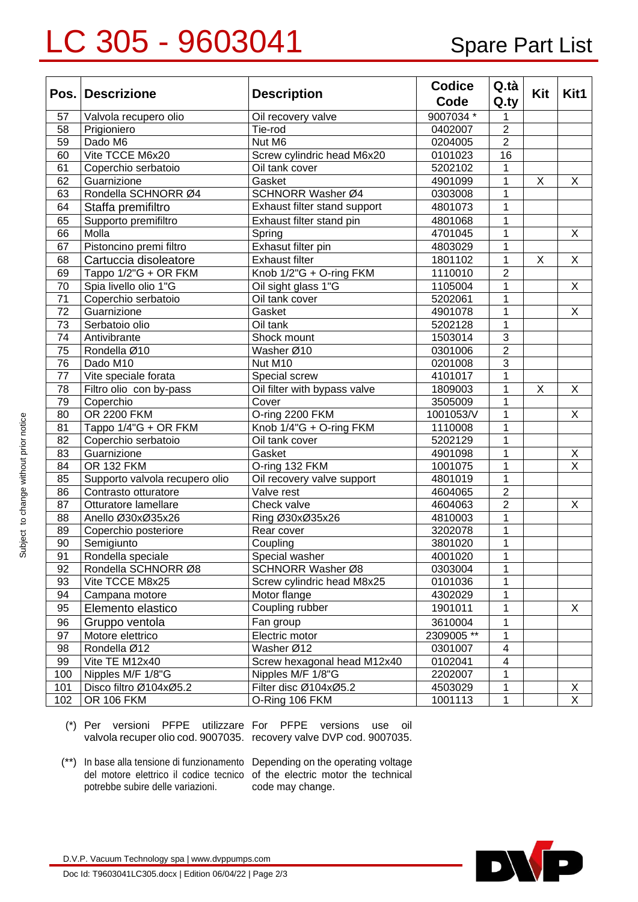## LC 305 - 9603041 Spare Part List

| Pos. | <b>Descrizione</b>             | <b>Description</b>           | <b>Codice</b><br>Code | Q.tà<br>Q.ty   | Kit                     | Kit1                    |
|------|--------------------------------|------------------------------|-----------------------|----------------|-------------------------|-------------------------|
| 57   | Valvola recupero olio          | Oil recovery valve           | 9007034 *             | 1              |                         |                         |
| 58   | Prigioniero                    | Tie-rod                      | 0402007               | $\overline{2}$ |                         |                         |
| 59   | Dado M6                        | Nut M6                       | 0204005               | $\overline{2}$ |                         |                         |
| 60   | Vite TCCE M6x20                | Screw cylindric head M6x20   | 0101023               | 16             |                         |                         |
| 61   | Coperchio serbatoio            | Oil tank cover               | 5202102               | 1              |                         |                         |
| 62   | Guarnizione                    | Gasket                       | 4901099               | 1              | X                       | X                       |
| 63   | Rondella SCHNORR Ø4            | SCHNORR Washer Ø4            | 0303008               | 1              |                         |                         |
| 64   | Staffa premifiltro             | Exhaust filter stand support | 4801073               | 1              |                         |                         |
| 65   | Supporto premifiltro           | Exhaust filter stand pin     | 4801068               | $\mathbf 1$    |                         |                         |
| 66   | Molla                          | Spring                       | 4701045               | $\mathbf 1$    |                         | X                       |
| 67   | Pistoncino premi filtro        | Exhasut filter pin           | 4803029               | $\mathbf 1$    |                         |                         |
| 68   | Cartuccia disoleatore          | <b>Exhaust filter</b>        | 1801102               | $\mathbf{1}$   | X                       | X                       |
| 69   | Tappo 1/2"G + OR FKM           | Knob 1/2"G + O-ring FKM      | 1110010               | $\overline{2}$ |                         |                         |
| 70   | Spia livello olio 1"G          | Oil sight glass 1"G          | 1105004               | $\overline{1}$ |                         | X                       |
| 71   | Coperchio serbatoio            | Oil tank cover               | 5202061               | 1              |                         |                         |
| 72   | Guarnizione                    | Gasket                       | 4901078               | 1              |                         | X                       |
| 73   | Serbatoio olio                 | Oil tank                     | 5202128               | 1              |                         |                         |
| 74   | Antivibrante                   | Shock mount                  | 1503014               | $\overline{3}$ |                         |                         |
| 75   | Rondella Ø10                   | Washer Ø10                   | 0301006               | $\overline{2}$ |                         |                         |
| 76   | Dado M10                       | Nut M10                      | 0201008               | $\overline{3}$ |                         |                         |
| 77   | Vite speciale forata           | Special screw                | 4101017               | $\mathbf{1}$   |                         |                         |
| 78   | Filtro olio con by-pass        | Oil filter with bypass valve | 1809003               | 1              | $\overline{\mathsf{x}}$ | X                       |
| 79   | Coperchio                      | Cover                        | 3505009               | 1              |                         |                         |
| 80   | <b>OR 2200 FKM</b>             | O-ring 2200 FKM              | 1001053/V             | 1              |                         | X                       |
| 81   | Tappo 1/4"G + OR FKM           | Knob 1/4"G + O-ring FKM      | 1110008               | 1              |                         |                         |
| 82   | Coperchio serbatoio            | Oil tank cover               | 5202129               | 1              |                         |                         |
| 83   | Guarnizione                    | Gasket                       | 4901098               | 1              |                         | Χ                       |
| 84   | <b>OR 132 FKM</b>              | O-ring 132 FKM               | 1001075               | 1              |                         | $\overline{\mathsf{x}}$ |
| 85   | Supporto valvola recupero olio | Oil recovery valve support   | 4801019               | $\mathbf{1}$   |                         |                         |
| 86   | Contrasto otturatore           | Valve rest                   | 4604065               | $\overline{2}$ |                         |                         |
| 87   | Otturatore lamellare           | Check valve                  | 4604063               | $\overline{2}$ |                         | X                       |
| 88   | Anello Ø30xØ35x26              | Ring Ø30xØ35x26              | 4810003               | $\mathbf{1}$   |                         |                         |
| 89   | Coperchio posteriore           | Rear cover                   | 3202078               | 1              |                         |                         |
| 90   | Semigiunto                     | Coupling                     | 3801020               | 1              |                         |                         |
| 91   | Rondella speciale              | Special washer               | 4001020               | $\mathbf 1$    |                         |                         |
| 92   | Rondella SCHNORR Ø8            | SCHNORR Washer Ø8            | 0303004               | 1              |                         |                         |
| 93   | Vite TCCE M8x25                | Screw cylindric head M8x25   | 0101036               | 1              |                         |                         |
| 94   | Campana motore                 | Motor flange                 | 4302029               | 1              |                         |                         |
| 95   | Elemento elastico              | Coupling rubber              | 1901011               | 1              |                         | X                       |
| 96   | Gruppo ventola                 | Fan group                    | 3610004               | 1              |                         |                         |
| 97   | Motore elettrico               | Electric motor               | 2309005 **            | 1              |                         |                         |
| 98   | Rondella Ø12                   | Washer Ø12                   | 0301007               | 4              |                         |                         |
| 99   | Vite TE M12x40                 | Screw hexagonal head M12x40  | 0102041               | 4              |                         |                         |
| 100  | Nipples M/F 1/8"G              | Nipples M/F 1/8"G            | 2202007               | 1              |                         |                         |
| 101  | Disco filtro Ø104xØ5.2         | Filter disc Ø104xØ5.2        | 4503029               | 1              |                         | $\underline{X}$         |
| 102  | <b>OR 106 FKM</b>              | O-Ring 106 FKM               | 1001113               | 1              |                         | X                       |

(\*) Per versioni PFPE utilizzare For PFPE versions use oil valvola recuper olio cod. 9007035. recovery valve DVP cod. 9007035.

(\*\*) In base alla tensione di funzionamento Depending on the operating voltage potrebbe subire delle variazioni.

del motore elettrico il codice tecnico of the electric motor the technical code may change.